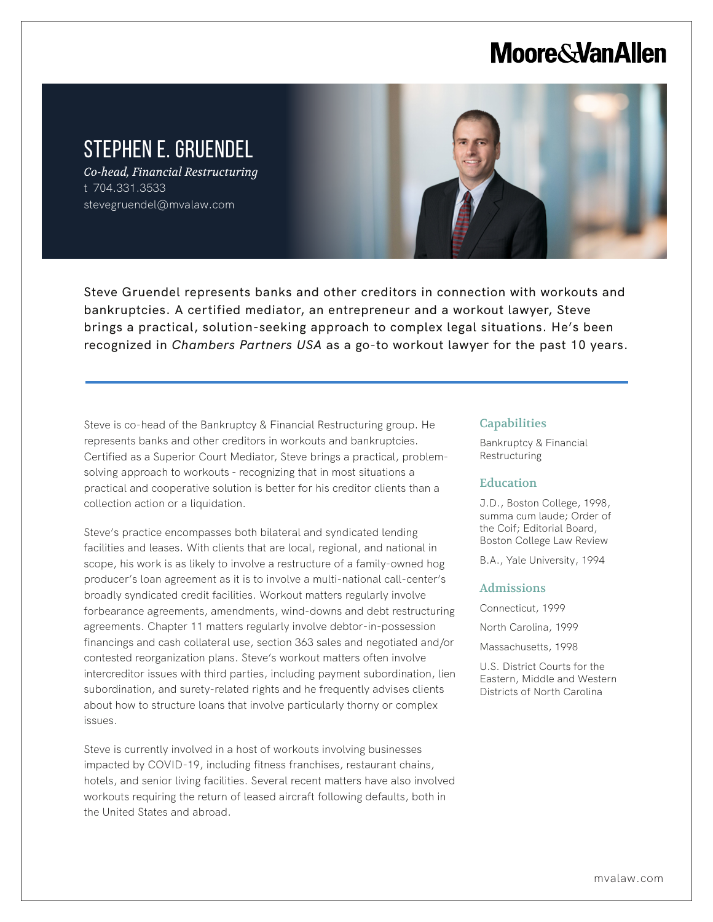# **Moore & Van Allen**

## STEPHEN E. GRUENDEL

*Co-head, Financial Restructuring* t 704.331.3533 stevegruendel@mvalaw.com

L



Steve Gruendel represents banks and other creditors in connection with workouts and bankruptcies. A certified mediator, an entrepreneur and a workout lawyer, Steve brings a practical, solution-seeking approach to complex legal situations. He's been recognized in *Chambers Partners USA* as a go-to workout lawyer for the past 10 years.

Steve is co-head of the Bankruptcy & Financial Restructuring group. He represents banks and other creditors in workouts and bankruptcies. Certified as a Superior Court Mediator, Steve brings a practical, problemsolving approach to workouts - recognizing that in most situations a practical and cooperative solution is better for his creditor clients than a collection action or a liquidation.

Steve's practice encompasses both bilateral and syndicated lending facilities and leases. With clients that are local, regional, and national in scope, his work is as likely to involve a restructure of a family-owned hog producer's loan agreement as it is to involve a multi-national call-center's broadly syndicated credit facilities. Workout matters regularly involve forbearance agreements, amendments, wind-downs and debt restructuring agreements. Chapter 11 matters regularly involve debtor-in-possession financings and cash collateral use, section 363 sales and negotiated and/or contested reorganization plans. Steve's workout matters often involve intercreditor issues with third parties, including payment subordination, lien subordination, and surety-related rights and he frequently advises clients about how to structure loans that involve particularly thorny or complex issues.

Steve is currently involved in a host of workouts involving businesses impacted by COVID-19, including fitness franchises, restaurant chains, hotels, and senior living facilities. Several recent matters have also involved workouts requiring the return of leased aircraft following defaults, both in the United States and abroad.

#### **Capabilities**

Bankruptcy & Financial Restructuring

#### Education

J.D., Boston College, 1998, summa cum laude; Order of the Coif; Editorial Board, Boston College Law Review

B.A., Yale University, 1994

#### Admissions

Connecticut, 1999 North Carolina, 1999 Massachusetts, 1998

U.S. District Courts for the Eastern, Middle and Western Districts of North Carolina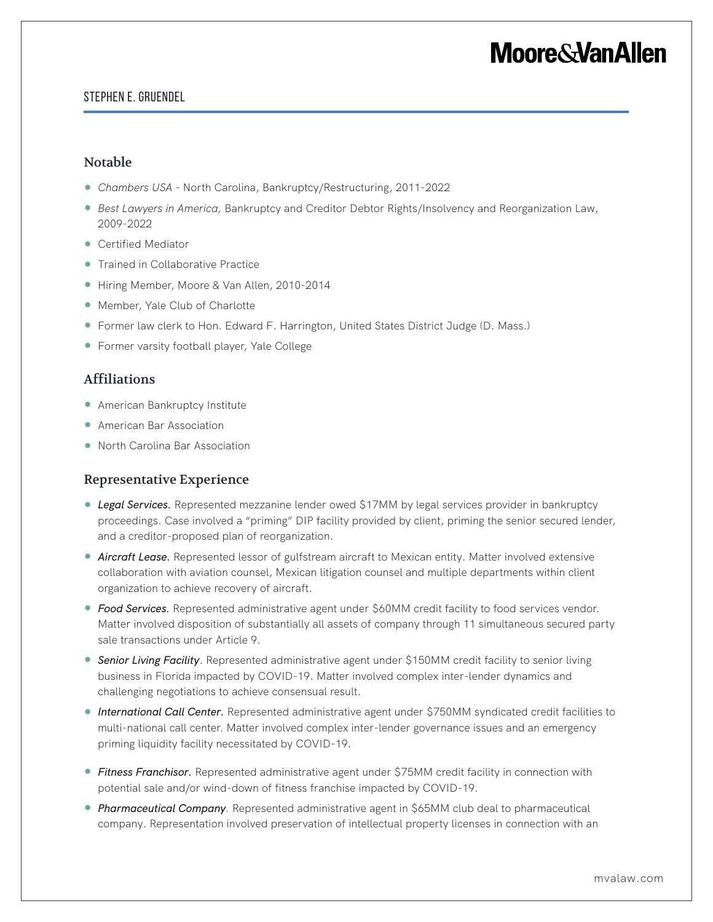# **Moore&VanAllen**

### Stephen E. Gruendel

### Notable

- *Chambers USA*  North Carolina, Bankruptcy/Restructuring, 2011-2022
- *Best Lawyers in America*, Bankruptcy and Creditor Debtor Rights/Insolvency and Reorganization Law, 2009-2022
- Certified Mediator
- Trained in Collaborative Practice
- Hiring Member, Moore & Van Allen, 2010-2014
- Member, Yale Club of Charlotte
- Former law clerk to Hon. Edward F. Harrington, United States District Judge (D. Mass.)
- Former varsity football player, Yale College

### Affiliations

- American Bankruptcy Institute
- American Bar Association
- North Carolina Bar Association

### Representative Experience

- *Legal Services.* Represented mezzanine lender owed \$17MM by legal services provider in bankruptcy proceedings. Case involved a "priming" DIP facility provided by client, priming the senior secured lender, and a creditor-proposed plan of reorganization.
- **Aircraft Lease**. Represented lessor of gulfstream aircraft to Mexican entity. Matter involved extensive collaboration with aviation counsel, Mexican litigation counsel and multiple departments within client organization to achieve recovery of aircraft.
- *Food Services.* Represented administrative agent under \$60MM credit facility to food services vendor. Matter involved disposition of substantially all assets of company through 11 simultaneous secured party sale transactions under Article 9.
- **Senior Living Facility**. Represented administrative agent under \$150MM credit facility to senior living business in Florida impacted by COVID-19. Matter involved complex inter-lender dynamics and challenging negotiations to achieve consensual result.
- *International Call Center.* Represented administrative agent under \$750MM syndicated credit facilities to multi-national call center. Matter involved complex inter-lender governance issues and an emergency priming liquidity facility necessitated by COVID-19.
- *Fitness Franchisor.* Represented administrative agent under \$75MM credit facility in connection with potential sale and/or wind-down of fitness franchise impacted by COVID-19.
- *Pharmaceutical Company*. Represented administrative agent in \$65MM club deal to pharmaceutical company. Representation involved preservation of intellectual property licenses in connection with an